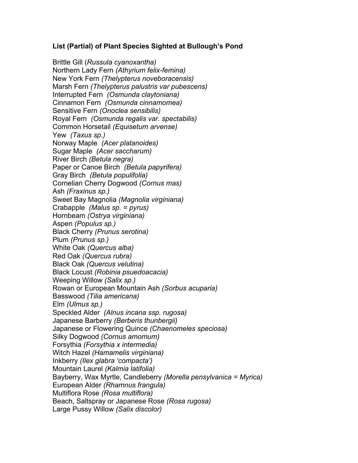## **List (Partial) of Plant Species Sighted at Bullough's Pond**

Brittle Gill (*Russula cyanoxantha)* Northern Lady Fern *(Athyrium felix-femina)* New York Fern *(Thelypterus noveboracensis)* Marsh Fern *(Thelypterus palustris var pubescens)* Interrupted Fern *(Osmunda claytoniana)* Cinnamon Fern *(Osmunda cinnamomea)* Sensitive Fern *(Onoclea sensibilis)* Royal Fern *(Osmunda regalis var. spectabilis)* Common Horsetail *(Equisetum arvense)* Yew *(Taxus sp.)* Norway Maple *(Acer platanoides)* Sugar Maple *(Acer saccharum)* River Birch *(Betula negra)* Paper or Canoe Birch *(Betula papyrifera)* Gray Birch *(Betula populifolia)* Cornelian Cherry Dogwood *(Cornus mas)* Ash *(Fraxinus sp.)* Sweet Bay Magnolia *(Magnolia virginiana)* Crabapple *(Malus sp. = pyrus)* Hornbeam *(Ostrya virginiana)* Aspen *(Populus sp.)* Black Cherry *(Prunus serotina)* Plum *(Prunus sp.)* White Oak *(Quercus alba)* Red Oak *(Quercus rubra)* Black Oak *(Quercus velutina)* Black Locust *(Robinia psuedoacacia)* Weeping Willow *(Salix sp.)* Rowan or European Mountain Ash *(Sorbus acuparia)* Basswood *(Tilia americana)* Elm *(Ulmus sp.)* Speckled Alder *(Alnus incana ssp. rugosa)* Japanese Barberry *(Berberis thunbergii)* Japanese or Flowering Quince *(Chaenomeles speciosa)* Silky Dogwood *(Cornus amomum)* Forsythia *(Forsythia x intermedia)* Witch Hazel *(Hamamelis virginiana)* Inkberry *(Ilex glabra 'compacta')* Mountain Laurel *(Kalmia latifolia)* Bayberry, Wax Myrtle, Candleberry *(Morella pensylvanica = Myrica)* European Alder *(Rhamnus frangula)* Multiflora Rose *(Rosa multiflora)* Beach, Saltspray or Japanese Rose *(Rosa rugosa)* Large Pussy Willow *(Salix discolor)*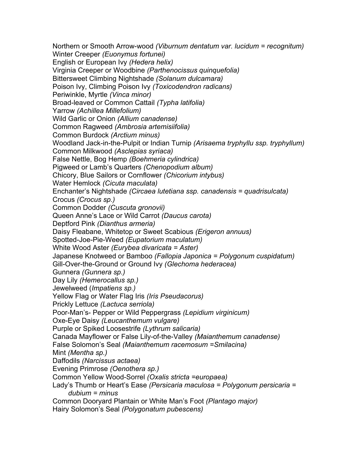Northern or Smooth Arrow-wood *(Viburnum dentatum var. lucidum = recognitum)* Winter Creeper *(Euonymus fortunei)* English or European Ivy *(Hedera helix)* Virginia Creeper or Woodbine *(Parthenocissus quinquefolia)* Bittersweet Climbing Nightshade *(Solanum dulcamara)* Poison Ivy, Climbing Poison Ivy *(Toxicodendron radicans)* Periwinkle, Myrtle *(Vinca minor)* Broad-leaved or Common Cattail *(Typha latifolia)* Yarrow *(Achillea Millefolium)* Wild Garlic or Onion *(Allium canadense)* Common Ragweed *(Ambrosia artemisiifolia)* Common Burdock *(Arctium minus)* Woodland Jack-in-the-Pulpit or Indian Turnip *(Arisaema tryphyllu ssp. tryphyllum)* Common Milkwood *(Asclepias syriaca)* False Nettle, Bog Hemp *(Boehmeria cylindrica)* Pigweed or Lamb's Quarters *(Chenopodium album)* Chicory, Blue Sailors or Cornflower *(Chicorium intybus)* Water Hemlock *(Cicuta maculata)* Enchanter's Nightshade *(Circaea lutetiana ssp. canadensis = quadrisulcata)* Crocus *(Crocus sp.)* Common Dodder *(Cuscuta gronovii)* Queen Anne's Lace or Wild Carrot *(Daucus carota)* Deptford Pink *(Dianthus armeria)* Daisy Fleabane, Whitetop or Sweet Scabious *(Erigeron annuus)* Spotted-Joe-Pie-Weed *(Eupatorium maculatum)* White Wood Aster *(Eurybea divaricata = Aster)* Japanese Knotweed or Bamboo *(Fallopia Japonica = Polygonum cuspidatum)* Gill-Over-the-Ground or Ground Ivy *(Glechoma hederacea)* Gunnera *(Gunnera sp.)* Day Lily *(Hemerocallus sp.)* Jewelweed (*Impatiens sp.)* Yellow Flag or Water Flag Iris *(Iris Pseudacorus)*  Prickly Lettuce *(Lactuca serriola)* Poor-Man's- Pepper or Wild Peppergrass *(Lepidium virginicum)* Oxe-Eye Daisy *(Leucanthemum vulgare)* Purple or Spiked Loosestrife *(Lythrum salicaria)* Canada Mayflower or False Lily-of-the-Valley *(Maianthemum canadense)* False Solomon's Seal *(Maianthemum racemosum =Smilacina)* Mint *(Mentha sp.)* Daffodils *(Narcissus actaea)* Evening Primrose *(Oenothera sp.)* Common Yellow Wood-Sorrel *(Oxalis stricta =europaea)* Lady's Thumb or Heart's Ease *(Persicaria maculosa = Polygonum persicaria = dubium = minus* Common Dooryard Plantain or White Man's Foot *(Plantago major)* Hairy Solomon's Seal *(Polygonatum pubescens)*